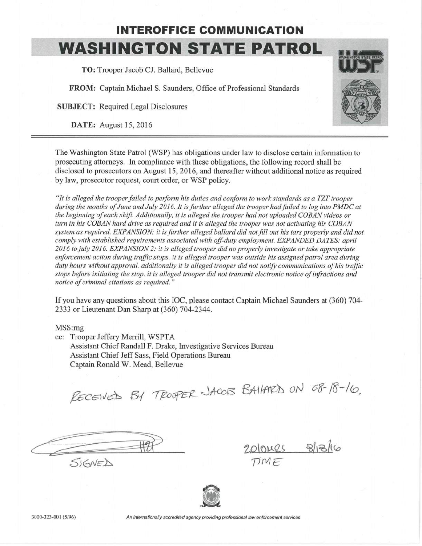# **INTEROFFICE COMMUNICATION**

# **WASHINGTON STATE PATROL**

TO: Trooper Jacob CJ. Ballard, Bellevue

FROM: Captain Michael S. Saunders, Office of Professional Standards

**SUBJECT:** Required Legal Disclosures

**DATE:** August 15, 2016



The Washington State Patrol (WSP) has obligations under law to disclose certain information to prosecuting attorneys. In compliance with these obligations, the following record shall be disclosed to prosecutors on August 15, 2016, and thereafter without additional notice as required by law, prosecutor request, court order, or WSP policy.

"It is alleged the trooper failed to perform his duties and conform to work standards as a TZT trooper during the months of June and July 2016. It is further alleged the trooper had failed to log into PMDC at the beginning of each shift. Additionally, it is alleged the trooper had not uploaded COBAN videos or turn in his COBAN hard drive as required and it is alleged the trooper was not activating his COBAN system as required. EXPANSION: it is further alleged ballard did not fill out his tars properly and did not comply with established requirements associated with off-duty employment. EXPANDED DATES: april 2016 to july 2016. EXPANSION 2: it is alleged trooper did no properly investigate or take appropriate enforcement action during traffic stops. it is alleged trooper was outside his assigned patrol area during duty hours without approval. additionally it is alleged trooper did not notify communications of his traffic stops before initiating the stop, it is alleged trooper did not transmit electronic notice of infractions and notice of criminal citations as required."

If you have any questions about this IOC, please contact Captain Michael Saunders at (360) 704-2333 or Lieutenant Dan Sharp at (360) 704-2344.

### MSS:rng

cc: Trooper Jeffery Merrill, WSPTA Assistant Chief Randall F. Drake, Investigative Services Bureau Assistant Chief Jeff Sass, Field Operations Bureau Captain Ronald W. Mead, Bellevue

RECEIVED BY TROOPER JACOB BAILARD ON 08-18-10

SIGNED

201048 State



An internationally accredited agency providing professional law enforcement services